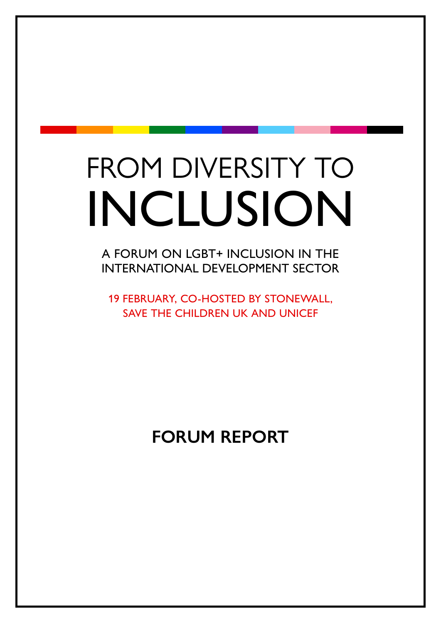# FROM DIVERSITY TO INCLUSION

A FORUM ON LGBT+ INCLUSION IN THE INTERNATIONAL DEVELOPMENT SECTOR

19 FEBRUARY, CO-HOSTED BY STONEWALL, SAVE THE CHILDREN UK AND UNICEF

**FORUM REPORT**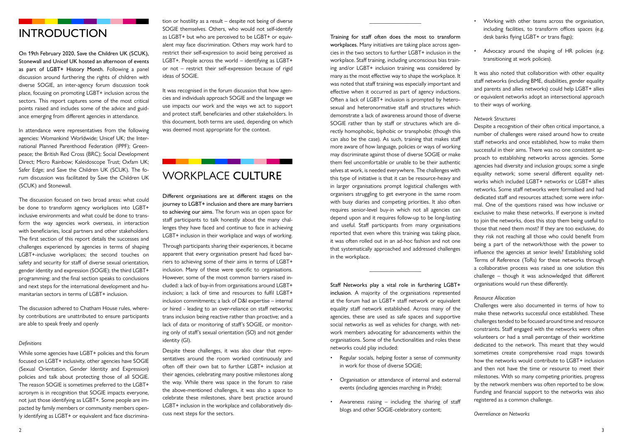## INTRODUCTION

On 19th February 2020, Save the Children UK (SCUK), Stonewall and Unicef UK hosted an afternoon of events as part of LGBT+ History Month. Following a panel discussion around furthering the rights of children with diverse SOGIE, an inter-agency forum discussion took place, focusing on promoting LGBT+ inclusion across the sectors. This report captures some of the most critical points raised and includes some of the advice and guidance emerging from different agencies in attendance.

In attendance were representatives from the following agencies: Womankind Worldwide; Unicef UK; the International Planned Parenthood Federation (IPPF); Greenpeace; the British Red Cross (BRC); Social Development Direct; Micro Rainbow; Kaleidoscope Trust; Oxfam UK; Safer Edge; and Save the Children UK (SCUK). The forum discussion was facilitated by Save the Children UK (SCUK) and Stonewall.

The discussion focused on two broad areas: what could be done to transform agency workplaces into LGBT+ inclusive environments and what could be done to transform the way agencies work overseas, in interaction with beneficiaries, local partners and other stakeholders. The first section of this report details the successes and challenges experienced by agencies in terms of shaping LGBT+-inclusive workplaces; the second touches on safety and security for staff of diverse sexual orientation, gender identity and expression (SOGIE); the third LGBT+ programming; and the final section speaks to conclusions and next steps for the international development and humanitarian sectors in terms of LGBT+ inclusion.

It was recognised in the forum discussion that how agencies and individuals approach SOGIE and the language we use impacts our work and the ways we act to support and protect staff, beneficiaries and other stakeholders. In this document, both terms are used, depending on which was deemed most appropriate for the context.

The discussion adhered to Chatham House rules, whereby contributions are unattributed to ensure participants are able to speak freely and openly

#### *Definitions*

While some agencies have LGBT+ policies and this forum focused on LGBT+ inclusivity, other agencies have SOGIE (Sexual Orientation, Gender Identity and Expression) policies and talk about protecting those of all SOGIE. The reason SOGIE is sometimes preferred to the LGBT+ acronym is in recognition that SOGIE impacts everyone, not just those identifying as LGBT+. Some people are impacted by family members or community members openly identifying as LGBT+ or equivalent and face discrimination or hostility as a result – despite not being of diverse SOGIE themselves. Others, who would not self-identify as LGBT+ but who are perceived to be LGBT+ or equivalent may face discrimination. Others may work hard to restrict their self-expression to avoid being perceived as LGBT+. People across the world – identifying as LGBT+ or not – restrict their self-expression because of rigid ideas of SOGIE.

## WORKPLACE CULTURE

Different organisations are at different stages on the journey to LGBT+ inclusion and there are many barriers to achieving our aims. The forum was an open space for staff participants to talk honestly about the many challenges they have faced and continue to face in achieving LGBT+ inclusion in their workplace and ways of working.

Through participants sharing their experiences, it became apparent that every organisation present had faced barriers to achieving some of their aims in terms of LGBT+ inclusion. Many of these were specific to organisations. However, some of the most common barriers raised included: a lack of buy-in from organisations around LGBT+ inclusion; a lack of time and resources to fulfil LGBT+ inclusion commitments; a lack of D&I expertise – internal or hired - leading to an over-reliance on staff networks; trans inclusion being reactive rather than proactive; and a lack of data or monitoring of staff's SOGIE, or monitoring only of staff's sexual orientation (SO) and not gender identity (GI).

It was also noted that collaboration with other equality staff networks (including BME, disabilities, gender equality and parents and allies networks) could help LGBT+ allies or equivalent networks adopt an intersectional approach to their ways of working.

Despite these challenges, it was also clear that representatives around the room worked continuously and often off their own bat to further LGBT+ inclusion at their agencies, celebrating many positive milestones along the way. While there was space in the forum to raise the above-mentioned challenges, it was also a space to celebrate these milestones, share best practice around LGBT+ inclusion in the workplace and collaboratively discuss next steps for the sectors.

\_\_\_\_\_\_\_\_\_\_\_\_\_\_\_\_\_\_

Training for staff often does the most to transform workplaces. Many initiatives are taking place across agencies in the two sectors to further LGBT+ inclusion in the workplace. Staff training, including unconscious bias training and/or LGBT+ inclusion training was considered by many as the most effective way to shape the workplace. It was noted that staff training was especially important and effective when it occurred as part of agency inductions. Often a lack of LGBT+ inclusion is prompted by heterosexual and heteronormative staff and structures which demonstrate a lack of awareness around those of diverse SOGIE rather than by staff or structures which are directly homophobic, biphobic or transphobic (though this can also be the case). As such, training that makes staff more aware of how language, policies or ways of working may discriminate against those of diverse SOGIE or make them feel uncomfortable or unable to be their authentic selves at work, is needed everywhere. The challenges with this type of initiative is that it can be resource-heavy and in larger organisations prompt logistical challenges with organisers struggling to get everyone in the same room with busy diaries and competing priorities. It also often requires senior-level buy-in which not all agencies can depend upon and it requires follow-up to be long-lasting and useful. Staff participants from many organisations reported that even where this training was taking place, it was often rolled out in an ad-hoc fashion and not one that systematically approached and addressed challenges in the workplace.

\_\_\_\_\_\_\_\_\_\_\_\_\_\_\_\_\_\_

Staff Networks play a vital role in furthering LGBT+ inclusion. A majority of the organisations represented at the forum had an LGBT+ staff network or equivalent equality staff network established. Across many of the agencies, these are used as safe spaces and supportive social networks as well as vehicles for change, with network members advocating for advancements within the organisations. Some of the functionalities and roles these networks could play included:

- Regular socials, helping foster a sense of community in work for those of diverse SOGIE;
- Organisation or attendance of internal and external events (including agencies marching in Pride);
- Awareness raising including the sharing of staff blogs and other SOGIE-celebratory content;
- Working with other teams across the organisation, including facilities, to transform offices spaces (e.g. desk banks flying LGBT+ or trans flags);
- Advocacy around the shaping of HR policies (e.g. transitioning at work policies).

#### *Network Structures*

Despite a recognition of their often critical importance, a number of challenges were raised around how to create staff networks and once established, how to make them successful in their aims. There was no one consistent approach to establishing networks across agencies. Some agencies had diversity and inclusion groups; some a single equality network; some several different equality networks which included LGBT+ networks or LGBT+ allies networks. Some staff networks were formalised and had dedicated staff and resources attached; some were informal. One of the questions raised was how inclusive or exclusive to make these networks. If everyone is invited to join the networks, does this stop them being useful to those that need them most? If they are too exclusive, do they risk not reaching all those who could benefit from being a part of the network/those with the power to influence the agencies at senior levels? Establishing solid Terms of Reference (ToRs) for these networks through a collaborative process was raised as one solution this challenge – though it was acknowledged that different organisations would run these differently.

#### *Resource Allocation*

Challenges were also documented in terms of how to make these networks successful once established. These challenges tended to be focused around time and resource constraints. Staff engaged with the networks were often volunteers or had a small percentage of their worktime dedicated to the network. This meant that they would sometimes create comprehensive road maps towards how the networks would contribute to LGBT+ inclusion and then not have the time or resource to meet their milestones. With so many competing priorities, progress by the network members was often reported to be slow. Funding and financial support to the networks was also registered as a common challenge.

*Overreliance on Networks*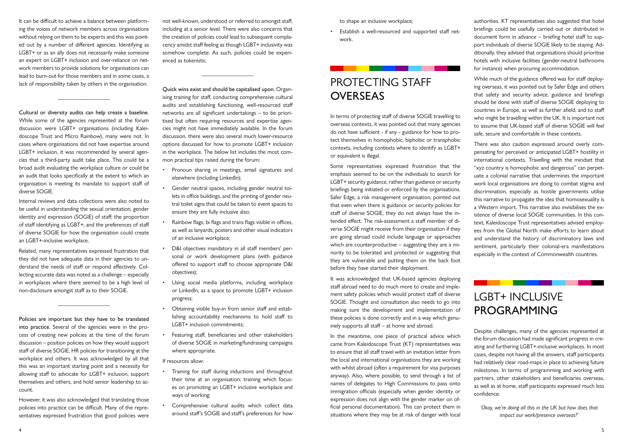It can be difficult to achieve a balance between platforming the voices of network members across organisations without relying on them to be experts and this was pointed out by a number of different agencies. Identifying as LGBT+ or as an ally does not necessarily make someone an expert on LGBT+ inclusion and over-reliance on network members to provide solutions for organisations can lead to burn-out for those members and in some cases, a lack of responsibility taken by others in the organisation.

\_\_\_\_\_\_\_\_\_\_\_\_\_\_\_\_\_\_

Cultural or diversity audits can help create a baseline. While some of the agencies represented at the forum discussion were LGBT+ organisations (including Kaleidoscope Trust and Micro Rainbow), many were not. In cases where organisations did not have expertise around LGBT+ inclusion, it was recommended by several agencies that a third-party audit take place. This could be a broad audit evaluating the workplace culture or could be an audit that looks specifically at the extent to which an organisation is meeting its mandate to support staff of diverse SOGIE.

Internal reviews and data collections were also noted to be useful in understanding the sexual orientation, gender identity and expression (SOGIE) of staff; the proportion of staff identifying as LGBT+; and the preferences of staff of diverse SOGIE for how the organisation could create an LGBT+-inclusive workplace.

Related, many representatives expressed frustration that they did not have adequate data in their agencies to understand the needs of staff or respond effectively. Collecting accurate data was noted as a challenge – especially in workplaces where there seemed to be a high level of non-disclosure amongst staff as to their SOGIE.

\_\_\_\_\_\_\_\_\_\_\_\_\_\_\_\_\_\_

Policies are important but they have to be translated into practice. Several of the agencies were in the process of creating new policies at the time of the forum discussion – position policies on how they would support staff of diverse SOGIE, HR policies for transitioning at the workplace and others. It was acknowledged by all that this was an important starting point and a necessity for allowing staff to advocate for LGBT+ inclusion, support themselves and others, and hold senior leadership to account.

# PROTECTING STAFF **OVERSEAS**

However, it was also acknowledged that translating those policies into practice can be difficult. Many of the representatives expressed frustration that good policies were not well-known, understood or referred to amongst staff, including at a senior level. There were also concerns that the creation of policies could lead to subsequent complacency amidst staff feeling as though LGBT+ inclusivity was somehow complete. As such, policies could be experienced as tokenistic.

 $\overline{\phantom{a}}$  , where  $\overline{\phantom{a}}$ 

Quick wins exist and should be capitalised upon. Organising training for staff, conducting comprehensive cultural audits and establishing functioning, well-resourced staff networks are all significant undertakings – to be prioritised but often requiring resources and expertise agencies might not have immediately available. In the forum discussion, there were also several much lower-resource options discussed for how to promote LGBT+ inclusion in the workplace. The below list includes the most common practical tips raised during the forum:

- Pronoun sharing in meetings, email signatures and elsewhere (including LinkedIn);
- Gender neutral spaces, including gender neutral toilets in office buildings, and the printing of gender neutral toilet signs that could be taken to event spaces to ensure they are fully inclusive also;
- Rainbow flags, bi flags and trans flags visible in offices, as well as lanyards, posters and other visual indicators of an inclusive workplace;
- D&I objectives mandatory in all staff members' personal or work development plans (with guidance offered to support staff to choose appropriate D&I objectives);
- Using social media platforms, including workplace or LinkedIn, as a space to promote LGBT+ inclusion progress;
- Obtaining visible buy-in from senior staff and establishing accountability mechanisms to hold staff to LGBT+ inclusion commitments;
- Featuring staff, beneficiaries and other stakeholders of diverse SOGIE in marketing/fundraising campaigns where appropriate.

If resources allow:

- Training for staff during inductions and throughout their time at an organisation; training which focuses on promoting an LGBT+ inclusive workplace and ways of working;
- Comprehensive cultural audits which collect data around staff's SOGIE and staff's preferences for how

to shape an inclusive workplace;

• Establish a well-resourced and supported staff network.

In terms of protecting staff of diverse SOGIE travelling to overseas contexts, it was pointed out that many agencies do not have sufficient - if any - guidance for how to protect themselves in homophobic, biphobic or transphobic contexts, including contexts where to identify as LGBT+ or equivalent is illegal.

Some representatives expressed frustration that the emphasis seemed to be on the individuals to search for LGBT+ security guidance, rather than guidance or security briefings being initiated or enforced by the organisations. Safer Edge, a risk management organisation, pointed out that even when there is guidance or security policies for staff of diverse SOGIE, they do not always have the intended effect. The risk-assessment a staff member of diverse SOGIE might receive from their organisation if they are going abroad could include language or approaches which are counterproductive – suggesting they are a minority to be tolerated and protected or suggesting that they are vulnerable and putting them on the back foot before they have started their deployment.

It was acknowledged that UK-based agencies deploying staff abroad need to do much more to create and implement safety policies which would protect staff of diverse SOGIE. Thought and consultation also needs to go into making sure the development and implementation of these policies is done correctly and in a way which genuinely supports all staff – at home and abroad.

In the meantime, one piece of practical advice which came from Kaleidoscope Trust (KT) representatives was to ensure that all staff travel with an invitation letter from the local and international organisations they are working with whilst abroad (often a requirement for visa purposes anyway). Also, where possible, to send through a list of names of delegates to High Commissions to pass onto immigration officials (especially when gender identity or expression does not align with the gender marker on official personal documentation). This can protect them in situations where they may be at risk of danger with local authorities. KT representatives also suggested that hotel briefings could be usefully carried out or distributed in document form in advance – briefing hotel staff to support individuals of diverse SOGIE likely to be staying. Additionally, they advised that organisations should prioritise hotels with inclusive facilities (gender-neutral bathrooms for instance) when procuring accommodation.

While much of the guidance offered was for staff deploying overseas, it was pointed out by Safer Edge and others that safety and security advice, guidance and briefings should be done with staff of diverse SOGIE deploying to countries in Europe, as well as further afield, and to staff who might be travelling within the UK. It is important not to assume that UK-based staff of diverse SOGIE will feel safe, secure and comfortable in these contexts.

There was also caution expressed around overly compensating for perceived or anticipated LGBT+ hostility in international contexts. Travelling with the mindset that "xyz country is homophobic and dangerous" can perpetuate a colonial narrative that undermines the important work local organisations are doing to combat stigma and discrimination, especially as hostile governments utilise this narrative to propagate the idea that homosexuality is a Western import. This narrative also invisibilises the existence of diverse local SOGIE communities. In this context, Kaleidoscope Trust representatives advised employees from the Global North make efforts to learn about and understand the history of discriminatory laws and sentiment, particularly their colonial-era manifestations especially in the context of Commonwealth countries.

# LGBT+ INCLUSIVE PROGRAMMING

Despite challenges, many of the agencies represented at the forum discussion had made significant progress in creating and furthering LGBT+-inclusive workplaces. In most cases, despite not having all the answers, staff participants had relatively clear road-maps in place to achieving future milestones. In terms of programming and working with partners, other stakeholders and beneficiaries overseas, as well as at home, staff participants expressed much less confidence:

*'Okay, we're doing all this in the UK but how does that impact our work/presence overseas?'*